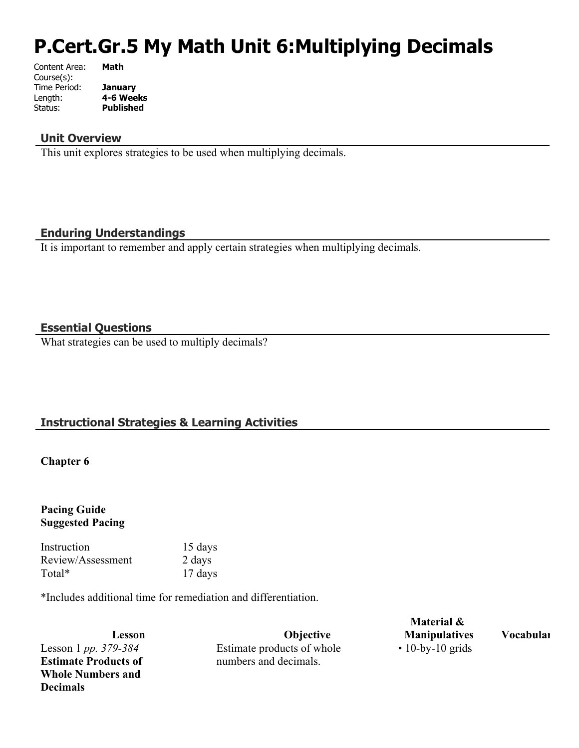# **P.Cert.Gr.5 My Math Unit 6:Multiplying Decimals**

| Content Area: | Math             |
|---------------|------------------|
| Course(s):    |                  |
| Time Period:  | <b>January</b>   |
| Length:       | 4-6 Weeks        |
| Status:       | <b>Published</b> |
|               |                  |

#### **Unit Overview**

This unit explores strategies to be used when multiplying decimals.

## **Enduring Understandings**

It is important to remember and apply certain strategies when multiplying decimals.

#### **Essential Questions**

What strategies can be used to multiply decimals?

## **Instructional Strategies & Learning Activities**

**Chapter 6**

#### **Pacing Guide Suggested Pacing**

Instruction 15 days Review/Assessment 2 days Total\* 17 days

\*Includes additional time for remediation and differentiation.

Lesson 1 *pp. 379-384* **Estimate Products of Whole Numbers and Decimals**

**Lesson Objective** Estimate products of whole numbers and decimals.

**Material & Manipulatives Vocabular**  $\cdot$  10-by-10 grids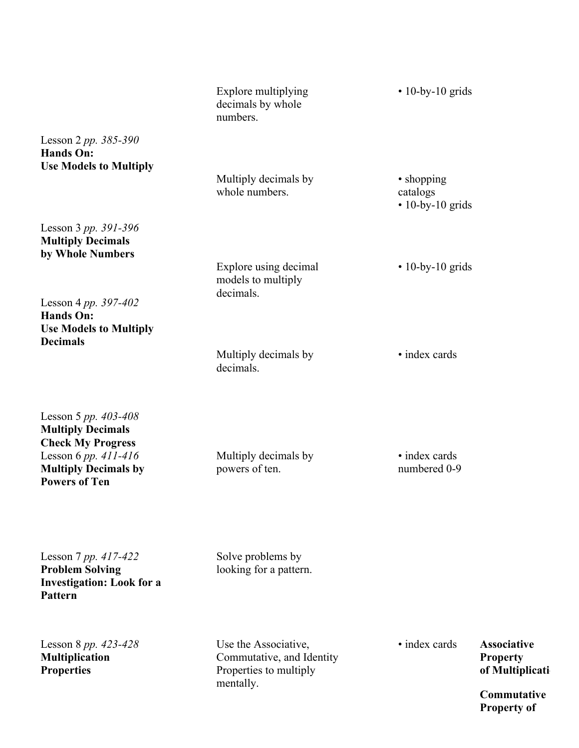| Explore multiplying                                                                      | $\cdot$ 10-by-10 grids                           |                                                                         |
|------------------------------------------------------------------------------------------|--------------------------------------------------|-------------------------------------------------------------------------|
| decimals by whole<br>numbers.                                                            |                                                  |                                                                         |
|                                                                                          |                                                  |                                                                         |
| Multiply decimals by<br>whole numbers.                                                   | • shopping<br>catalogs<br>$\cdot$ 10-by-10 grids |                                                                         |
|                                                                                          |                                                  |                                                                         |
| Explore using decimal<br>models to multiply<br>decimals.                                 | $\cdot$ 10-by-10 grids                           |                                                                         |
|                                                                                          |                                                  |                                                                         |
| Multiply decimals by<br>decimals.                                                        | • index cards                                    |                                                                         |
| Multiply decimals by<br>powers of ten.                                                   | • index cards<br>numbered 0-9                    |                                                                         |
| Solve problems by<br>looking for a pattern.                                              |                                                  |                                                                         |
| Use the Associative,<br>Commutative, and Identity<br>Properties to multiply<br>mentally. | • index cards                                    | <b>Associative</b><br><b>Property</b><br>of Multiplicati<br>Commutative |
|                                                                                          |                                                  |                                                                         |

**Property of**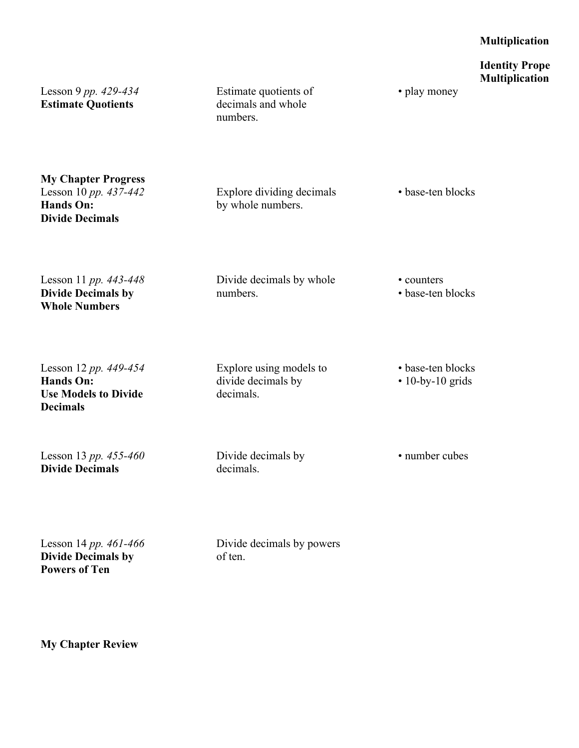**Multiplication**

## **Identity Prope Multiplication**

Lesson 9 *pp. 429-434* **Estimate Quotients** Estimate quotients of decimals and whole numbers. • play money **My Chapter Progress** Lesson 10 *pp. 437-442* **Hands On: Divide Decimals** Explore dividing decimals by whole numbers. • base-ten blocks Lesson 11 *pp. 443-448* **Divide Decimals by Whole Numbers** Divide decimals by whole numbers. • counters • base-ten blocks Lesson 12 *pp. 449-454* **Hands On: Use Models to Divide Decimals** Explore using models to divide decimals by decimals. • base-ten blocks  $\cdot$  10-by-10 grids Lesson 13 *pp. 455-460*

**Divide Decimals**

Divide decimals by decimals.

• number cubes.

Lesson 14 *pp. 461-466* **Divide Decimals by Powers of Ten**

Divide decimals by powers of ten.

**My Chapter Review**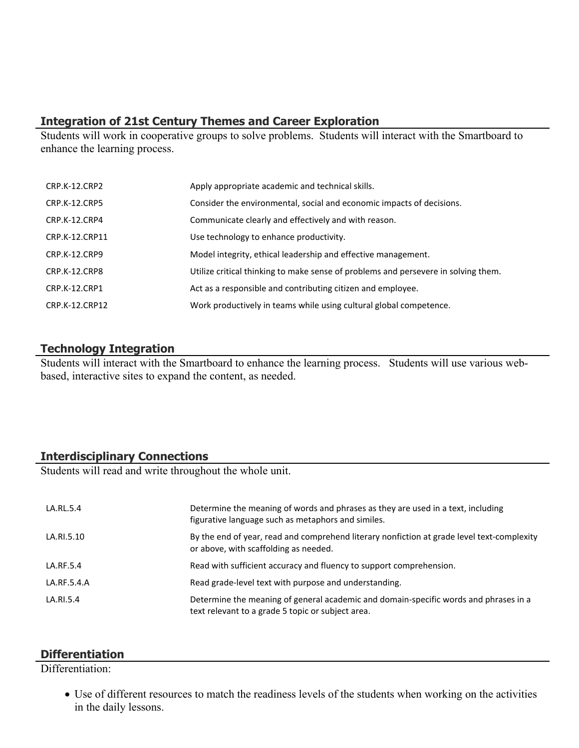# **Integration of 21st Century Themes and Career Exploration**

Students will work in cooperative groups to solve problems. Students will interact with the Smartboard to enhance the learning process.

| CRP.K-12.CRP2        | Apply appropriate academic and technical skills.                                   |
|----------------------|------------------------------------------------------------------------------------|
| <b>CRP.K-12.CRP5</b> | Consider the environmental, social and economic impacts of decisions.              |
| CRP.K-12.CRP4        | Communicate clearly and effectively and with reason.                               |
| CRP.K-12.CRP11       | Use technology to enhance productivity.                                            |
| CRP.K-12.CRP9        | Model integrity, ethical leadership and effective management.                      |
| CRP.K-12.CRP8        | Utilize critical thinking to make sense of problems and persevere in solving them. |
| <b>CRP.K-12.CRP1</b> | Act as a responsible and contributing citizen and employee.                        |
| CRP.K-12.CRP12       | Work productively in teams while using cultural global competence.                 |

## **Technology Integration**

Students will interact with the Smartboard to enhance the learning process. Students will use various webbased, interactive sites to expand the content, as needed.

# **Interdisciplinary Connections**

Students will read and write throughout the whole unit.

| LA.RL.5.4   | Determine the meaning of words and phrases as they are used in a text, including<br>figurative language such as metaphors and similes.    |
|-------------|-------------------------------------------------------------------------------------------------------------------------------------------|
| LA.RI.5.10  | By the end of year, read and comprehend literary nonfiction at grade level text-complexity<br>or above, with scaffolding as needed.       |
| LA.RF.5.4   | Read with sufficient accuracy and fluency to support comprehension.                                                                       |
| LA.RF.5.4.A | Read grade-level text with purpose and understanding.                                                                                     |
| LA.RI.5.4   | Determine the meaning of general academic and domain-specific words and phrases in a<br>text relevant to a grade 5 topic or subject area. |

## **Differentiation**

Differentiation<sup>-</sup>

 Use of different resources to match the readiness levels of the students when working on the activities in the daily lessons.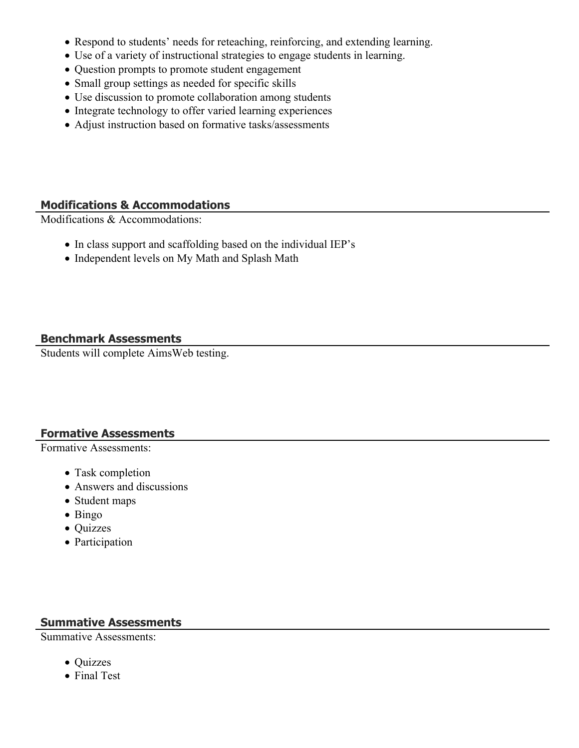- Respond to students' needs for reteaching, reinforcing, and extending learning.
- Use of a variety of instructional strategies to engage students in learning.
- Question prompts to promote student engagement
- Small group settings as needed for specific skills
- Use discussion to promote collaboration among students
- Integrate technology to offer varied learning experiences
- Adjust instruction based on formative tasks/assessments

# **Modifications & Accommodations**

Modifications & Accommodations:

- In class support and scaffolding based on the individual IEP's
- Independent levels on My Math and Splash Math

## **Benchmark Assessments**

Students will complete AimsWeb testing.

## **Formative Assessments**

Formative Assessments:

- Task completion
- Answers and discussions
- Student maps
- $\bullet$  Bingo
- Quizzes
- Participation

#### **Summative Assessments**

Summative Assessments:

- Quizzes
- Final Test